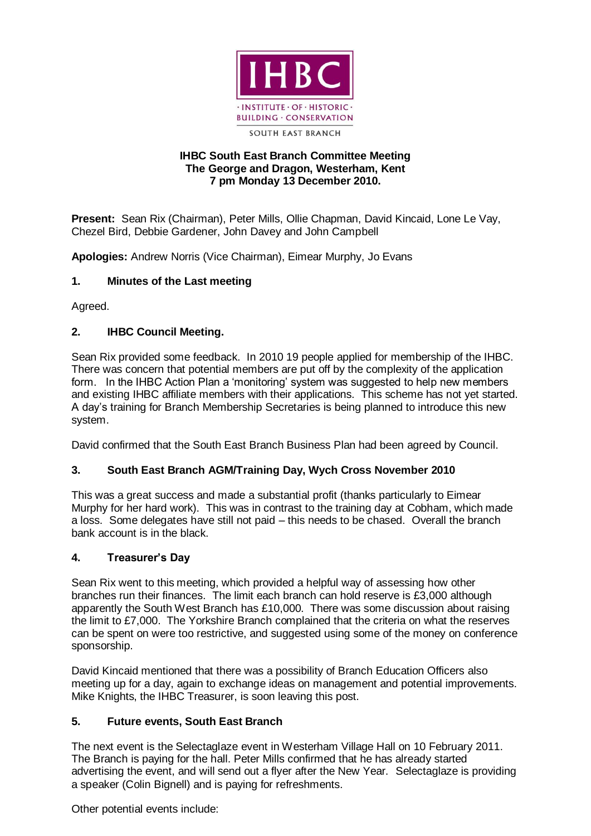

### **IHBC South East Branch Committee Meeting The George and Dragon, Westerham, Kent 7 pm Monday 13 December 2010.**

**Present:** Sean Rix (Chairman), Peter Mills, Ollie Chapman, David Kincaid, Lone Le Vay, Chezel Bird, Debbie Gardener, John Davey and John Campbell

**Apologies:** Andrew Norris (Vice Chairman), Eimear Murphy, Jo Evans

## **1. Minutes of the Last meeting**

Agreed.

## **2. IHBC Council Meeting.**

Sean Rix provided some feedback. In 2010 19 people applied for membership of the IHBC. There was concern that potential members are put off by the complexity of the application form. In the IHBC Action Plan a 'monitoring' system was suggested to help new members and existing IHBC affiliate members with their applications. This scheme has not yet started. A day's training for Branch Membership Secretaries is being planned to introduce this new system.

David confirmed that the South East Branch Business Plan had been agreed by Council.

# **3. South East Branch AGM/Training Day, Wych Cross November 2010**

This was a great success and made a substantial profit (thanks particularly to Eimear Murphy for her hard work). This was in contrast to the training day at Cobham, which made a loss. Some delegates have still not paid – this needs to be chased. Overall the branch bank account is in the black.

### **4. Treasurer's Day**

Sean Rix went to this meeting, which provided a helpful way of assessing how other branches run their finances. The limit each branch can hold reserve is £3,000 although apparently the South West Branch has £10,000. There was some discussion about raising the limit to £7,000. The Yorkshire Branch complained that the criteria on what the reserves can be spent on were too restrictive, and suggested using some of the money on conference sponsorship.

David Kincaid mentioned that there was a possibility of Branch Education Officers also meeting up for a day, again to exchange ideas on management and potential improvements. Mike Knights, the IHBC Treasurer, is soon leaving this post.

# **5. Future events, South East Branch**

The next event is the Selectaglaze event in Westerham Village Hall on 10 February 2011. The Branch is paying for the hall. Peter Mills confirmed that he has already started advertising the event, and will send out a flyer after the New Year. Selectaglaze is providing a speaker (Colin Bignell) and is paying for refreshments.

Other potential events include: